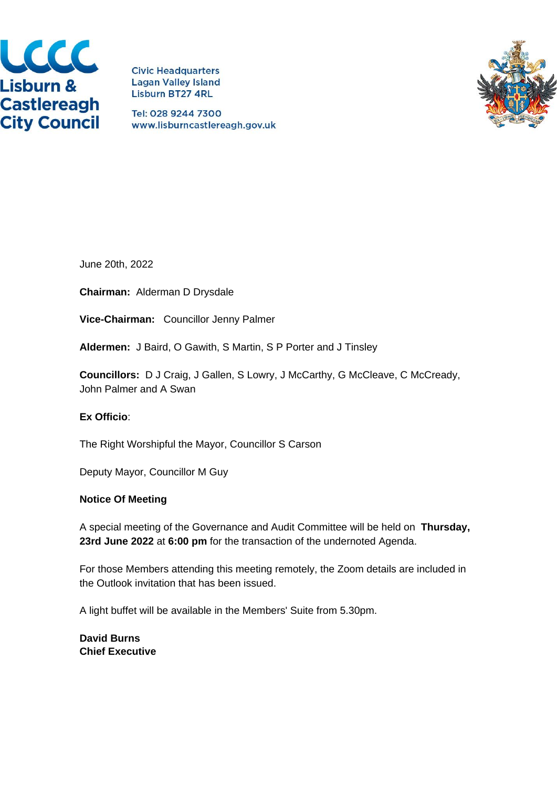

**Civic Headquarters Lagan Valley Island Lisburn BT27 4RL** 

Tel: 028 9244 7300 www.lisburncastlereagh.gov.uk



June 20th, 2022

**Chairman:** Alderman D Drysdale

**Vice-Chairman:** Councillor Jenny Palmer

**Aldermen:** J Baird, O Gawith, S Martin, S P Porter and J Tinsley

**Councillors:** D J Craig, J Gallen, S Lowry, J McCarthy, G McCleave, C McCready, John Palmer and A Swan

### **Ex Officio**:

The Right Worshipful the Mayor, Councillor S Carson

Deputy Mayor, Councillor M Guy

#### **Notice Of Meeting**

A special meeting of the Governance and Audit Committee will be held on **Thursday, 23rd June 2022** at **6:00 pm** for the transaction of the undernoted Agenda.

For those Members attending this meeting remotely, the Zoom details are included in the Outlook invitation that has been issued.

A light buffet will be available in the Members' Suite from 5.30pm.

**David Burns Chief Executive**